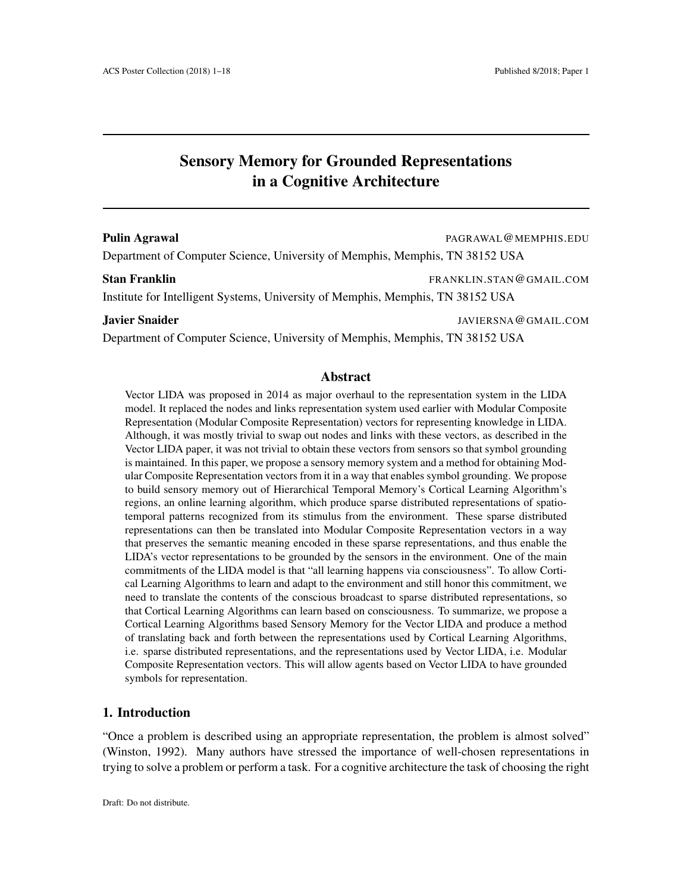# Sensory Memory for Grounded Representations in a Cognitive Architecture

#### Pulin Agrawal **Pulin Agrawal** PAGRAWAL@MEMPHIS.EDU

Department of Computer Science, University of Memphis, Memphis, TN 38152 USA

#### Stan Franklin FRANKLIN.STAN @GMAIL.COM

Institute for Intelligent Systems, University of Memphis, Memphis, TN 38152 USA

### **Javier Snaider Snaider And Account Account of the Snaider Snaider Account Account Account Account Account Account Account Account Account Account Account Account Account Account Account Account Account Account Account Acc**

Department of Computer Science, University of Memphis, Memphis, TN 38152 USA

#### Abstract

Vector LIDA was proposed in 2014 as major overhaul to the representation system in the LIDA model. It replaced the nodes and links representation system used earlier with Modular Composite Representation (Modular Composite Representation) vectors for representing knowledge in LIDA. Although, it was mostly trivial to swap out nodes and links with these vectors, as described in the Vector LIDA paper, it was not trivial to obtain these vectors from sensors so that symbol grounding is maintained. In this paper, we propose a sensory memory system and a method for obtaining Modular Composite Representation vectors from it in a way that enables symbol grounding. We propose to build sensory memory out of Hierarchical Temporal Memory's Cortical Learning Algorithm's regions, an online learning algorithm, which produce sparse distributed representations of spatiotemporal patterns recognized from its stimulus from the environment. These sparse distributed representations can then be translated into Modular Composite Representation vectors in a way that preserves the semantic meaning encoded in these sparse representations, and thus enable the LIDA's vector representations to be grounded by the sensors in the environment. One of the main commitments of the LIDA model is that "all learning happens via consciousness". To allow Cortical Learning Algorithms to learn and adapt to the environment and still honor this commitment, we need to translate the contents of the conscious broadcast to sparse distributed representations, so that Cortical Learning Algorithms can learn based on consciousness. To summarize, we propose a Cortical Learning Algorithms based Sensory Memory for the Vector LIDA and produce a method of translating back and forth between the representations used by Cortical Learning Algorithms, i.e. sparse distributed representations, and the representations used by Vector LIDA, i.e. Modular Composite Representation vectors. This will allow agents based on Vector LIDA to have grounded symbols for representation.

# 1. Introduction

"Once a problem is described using an appropriate representation, the problem is almost solved" (Winston, 1992). Many authors have stressed the importance of well-chosen representations in trying to solve a problem or perform a task. For a cognitive architecture the task of choosing the right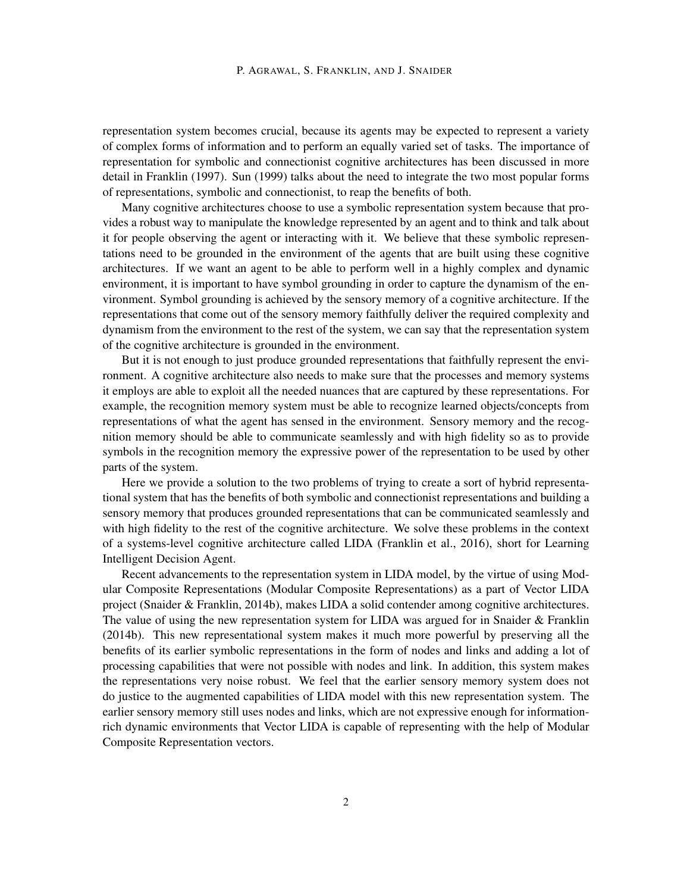representation system becomes crucial, because its agents may be expected to represent a variety of complex forms of information and to perform an equally varied set of tasks. The importance of representation for symbolic and connectionist cognitive architectures has been discussed in more detail in Franklin (1997). Sun (1999) talks about the need to integrate the two most popular forms of representations, symbolic and connectionist, to reap the benefits of both.

Many cognitive architectures choose to use a symbolic representation system because that provides a robust way to manipulate the knowledge represented by an agent and to think and talk about it for people observing the agent or interacting with it. We believe that these symbolic representations need to be grounded in the environment of the agents that are built using these cognitive architectures. If we want an agent to be able to perform well in a highly complex and dynamic environment, it is important to have symbol grounding in order to capture the dynamism of the environment. Symbol grounding is achieved by the sensory memory of a cognitive architecture. If the representations that come out of the sensory memory faithfully deliver the required complexity and dynamism from the environment to the rest of the system, we can say that the representation system of the cognitive architecture is grounded in the environment.

But it is not enough to just produce grounded representations that faithfully represent the environment. A cognitive architecture also needs to make sure that the processes and memory systems it employs are able to exploit all the needed nuances that are captured by these representations. For example, the recognition memory system must be able to recognize learned objects/concepts from representations of what the agent has sensed in the environment. Sensory memory and the recognition memory should be able to communicate seamlessly and with high fidelity so as to provide symbols in the recognition memory the expressive power of the representation to be used by other parts of the system.

Here we provide a solution to the two problems of trying to create a sort of hybrid representational system that has the benefits of both symbolic and connectionist representations and building a sensory memory that produces grounded representations that can be communicated seamlessly and with high fidelity to the rest of the cognitive architecture. We solve these problems in the context of a systems-level cognitive architecture called LIDA (Franklin et al., 2016), short for Learning Intelligent Decision Agent.

Recent advancements to the representation system in LIDA model, by the virtue of using Modular Composite Representations (Modular Composite Representations) as a part of Vector LIDA project (Snaider & Franklin, 2014b), makes LIDA a solid contender among cognitive architectures. The value of using the new representation system for LIDA was argued for in Snaider & Franklin (2014b). This new representational system makes it much more powerful by preserving all the benefits of its earlier symbolic representations in the form of nodes and links and adding a lot of processing capabilities that were not possible with nodes and link. In addition, this system makes the representations very noise robust. We feel that the earlier sensory memory system does not do justice to the augmented capabilities of LIDA model with this new representation system. The earlier sensory memory still uses nodes and links, which are not expressive enough for informationrich dynamic environments that Vector LIDA is capable of representing with the help of Modular Composite Representation vectors.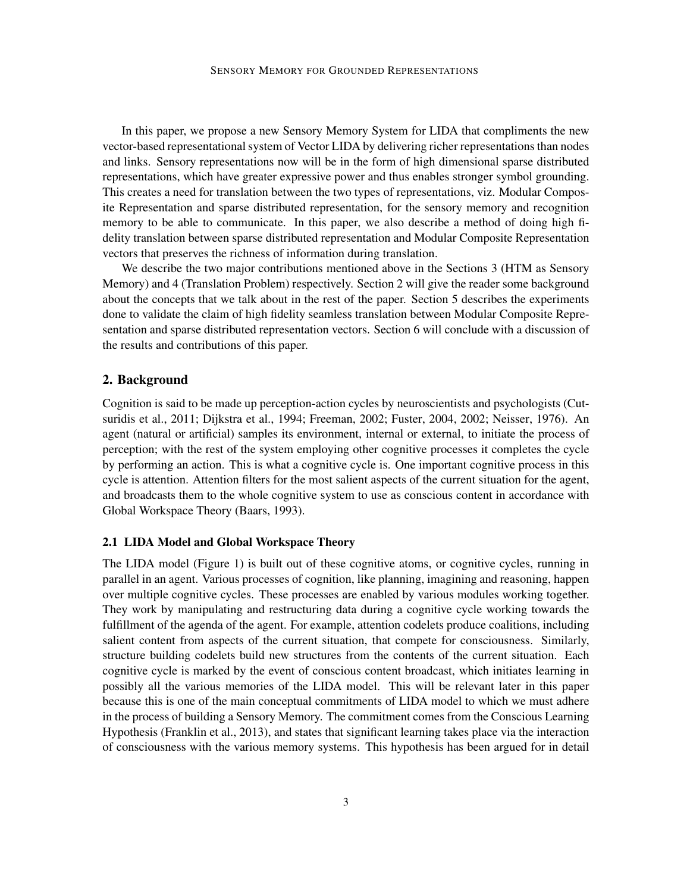In this paper, we propose a new Sensory Memory System for LIDA that compliments the new vector-based representational system of Vector LIDA by delivering richer representations than nodes and links. Sensory representations now will be in the form of high dimensional sparse distributed representations, which have greater expressive power and thus enables stronger symbol grounding. This creates a need for translation between the two types of representations, viz. Modular Composite Representation and sparse distributed representation, for the sensory memory and recognition memory to be able to communicate. In this paper, we also describe a method of doing high fidelity translation between sparse distributed representation and Modular Composite Representation vectors that preserves the richness of information during translation.

We describe the two major contributions mentioned above in the Sections 3 (HTM as Sensory Memory) and 4 (Translation Problem) respectively. Section 2 will give the reader some background about the concepts that we talk about in the rest of the paper. Section 5 describes the experiments done to validate the claim of high fidelity seamless translation between Modular Composite Representation and sparse distributed representation vectors. Section 6 will conclude with a discussion of the results and contributions of this paper.

## 2. Background

Cognition is said to be made up perception-action cycles by neuroscientists and psychologists (Cutsuridis et al., 2011; Dijkstra et al., 1994; Freeman, 2002; Fuster, 2004, 2002; Neisser, 1976). An agent (natural or artificial) samples its environment, internal or external, to initiate the process of perception; with the rest of the system employing other cognitive processes it completes the cycle by performing an action. This is what a cognitive cycle is. One important cognitive process in this cycle is attention. Attention filters for the most salient aspects of the current situation for the agent, and broadcasts them to the whole cognitive system to use as conscious content in accordance with Global Workspace Theory (Baars, 1993).

## 2.1 LIDA Model and Global Workspace Theory

The LIDA model (Figure 1) is built out of these cognitive atoms, or cognitive cycles, running in parallel in an agent. Various processes of cognition, like planning, imagining and reasoning, happen over multiple cognitive cycles. These processes are enabled by various modules working together. They work by manipulating and restructuring data during a cognitive cycle working towards the fulfillment of the agenda of the agent. For example, attention codelets produce coalitions, including salient content from aspects of the current situation, that compete for consciousness. Similarly, structure building codelets build new structures from the contents of the current situation. Each cognitive cycle is marked by the event of conscious content broadcast, which initiates learning in possibly all the various memories of the LIDA model. This will be relevant later in this paper because this is one of the main conceptual commitments of LIDA model to which we must adhere in the process of building a Sensory Memory. The commitment comes from the Conscious Learning Hypothesis (Franklin et al., 2013), and states that significant learning takes place via the interaction of consciousness with the various memory systems. This hypothesis has been argued for in detail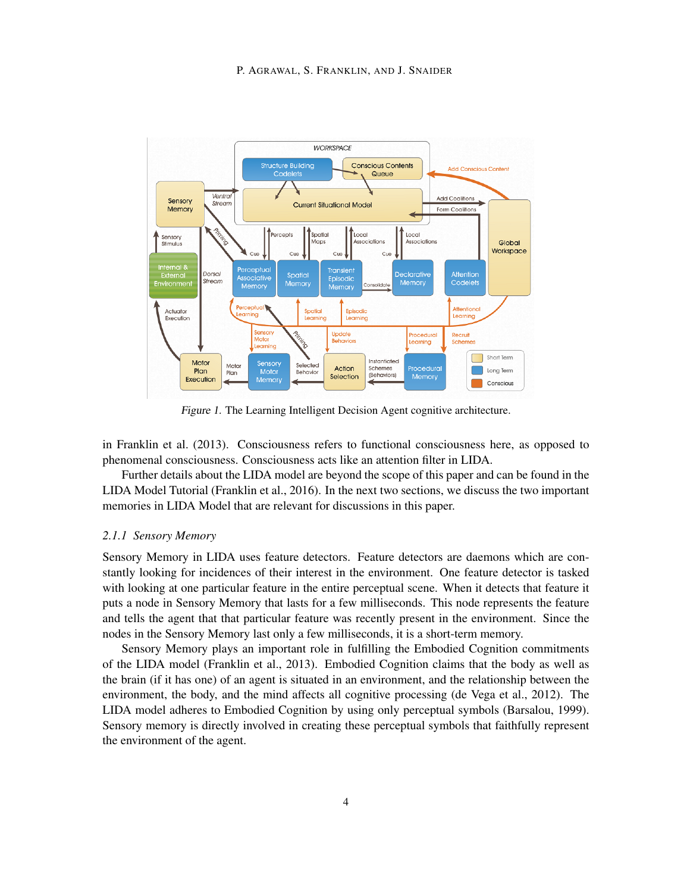

Figure 1. The Learning Intelligent Decision Agent cognitive architecture.

in Franklin et al. (2013). Consciousness refers to functional consciousness here, as opposed to phenomenal consciousness. Consciousness acts like an attention filter in LIDA.

Further details about the LIDA model are beyond the scope of this paper and can be found in the LIDA Model Tutorial (Franklin et al., 2016). In the next two sections, we discuss the two important memories in LIDA Model that are relevant for discussions in this paper.

## *2.1.1 Sensory Memory*

Sensory Memory in LIDA uses feature detectors. Feature detectors are daemons which are constantly looking for incidences of their interest in the environment. One feature detector is tasked with looking at one particular feature in the entire perceptual scene. When it detects that feature it puts a node in Sensory Memory that lasts for a few milliseconds. This node represents the feature and tells the agent that that particular feature was recently present in the environment. Since the nodes in the Sensory Memory last only a few milliseconds, it is a short-term memory.

Sensory Memory plays an important role in fulfilling the Embodied Cognition commitments of the LIDA model (Franklin et al., 2013). Embodied Cognition claims that the body as well as the brain (if it has one) of an agent is situated in an environment, and the relationship between the environment, the body, and the mind affects all cognitive processing (de Vega et al., 2012). The LIDA model adheres to Embodied Cognition by using only perceptual symbols (Barsalou, 1999). Sensory memory is directly involved in creating these perceptual symbols that faithfully represent the environment of the agent.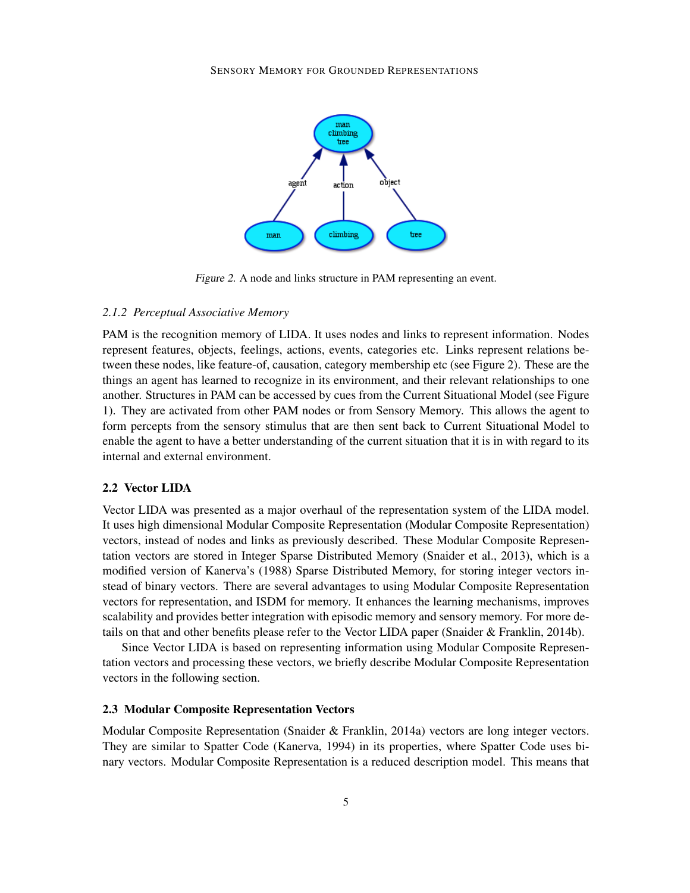

Figure 2. A node and links structure in PAM representing an event.

#### *2.1.2 Perceptual Associative Memory*

PAM is the recognition memory of LIDA. It uses nodes and links to represent information. Nodes represent features, objects, feelings, actions, events, categories etc. Links represent relations between these nodes, like feature-of, causation, category membership etc (see Figure 2). These are the things an agent has learned to recognize in its environment, and their relevant relationships to one another. Structures in PAM can be accessed by cues from the Current Situational Model (see Figure 1). They are activated from other PAM nodes or from Sensory Memory. This allows the agent to form percepts from the sensory stimulus that are then sent back to Current Situational Model to enable the agent to have a better understanding of the current situation that it is in with regard to its internal and external environment.

### 2.2 Vector LIDA

Vector LIDA was presented as a major overhaul of the representation system of the LIDA model. It uses high dimensional Modular Composite Representation (Modular Composite Representation) vectors, instead of nodes and links as previously described. These Modular Composite Representation vectors are stored in Integer Sparse Distributed Memory (Snaider et al., 2013), which is a modified version of Kanerva's (1988) Sparse Distributed Memory, for storing integer vectors instead of binary vectors. There are several advantages to using Modular Composite Representation vectors for representation, and ISDM for memory. It enhances the learning mechanisms, improves scalability and provides better integration with episodic memory and sensory memory. For more details on that and other benefits please refer to the Vector LIDA paper (Snaider & Franklin, 2014b).

Since Vector LIDA is based on representing information using Modular Composite Representation vectors and processing these vectors, we briefly describe Modular Composite Representation vectors in the following section.

## 2.3 Modular Composite Representation Vectors

Modular Composite Representation (Snaider & Franklin, 2014a) vectors are long integer vectors. They are similar to Spatter Code (Kanerva, 1994) in its properties, where Spatter Code uses binary vectors. Modular Composite Representation is a reduced description model. This means that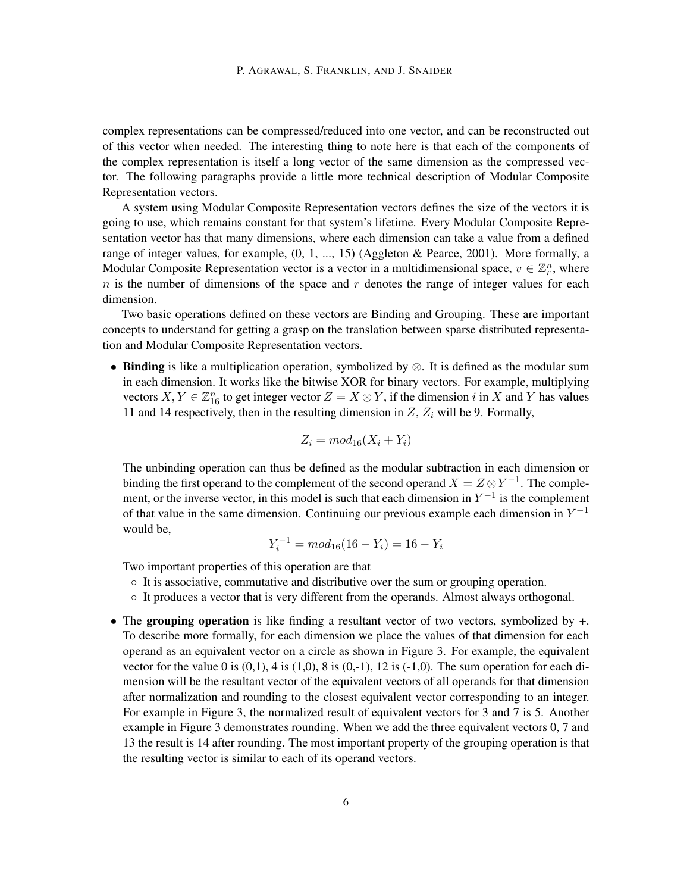complex representations can be compressed/reduced into one vector, and can be reconstructed out of this vector when needed. The interesting thing to note here is that each of the components of the complex representation is itself a long vector of the same dimension as the compressed vector. The following paragraphs provide a little more technical description of Modular Composite Representation vectors.

A system using Modular Composite Representation vectors defines the size of the vectors it is going to use, which remains constant for that system's lifetime. Every Modular Composite Representation vector has that many dimensions, where each dimension can take a value from a defined range of integer values, for example, (0, 1, ..., 15) (Aggleton & Pearce, 2001). More formally, a Modular Composite Representation vector is a vector in a multidimensional space,  $v \in \mathbb{Z}_r^n$ , where  $n$  is the number of dimensions of the space and  $r$  denotes the range of integer values for each dimension.

Two basic operations defined on these vectors are Binding and Grouping. These are important concepts to understand for getting a grasp on the translation between sparse distributed representation and Modular Composite Representation vectors.

• Binding is like a multiplication operation, symbolized by  $\otimes$ . It is defined as the modular sum in each dimension. It works like the bitwise XOR for binary vectors. For example, multiplying vectors  $X, Y \in \mathbb{Z}_{16}^n$  to get integer vector  $Z = X \otimes Y$ , if the dimension i in X and Y has values 11 and 14 respectively, then in the resulting dimension in  $Z$ ,  $Z_i$  will be 9. Formally,

$$
Z_i = mod_{16}(X_i + Y_i)
$$

The unbinding operation can thus be defined as the modular subtraction in each dimension or binding the first operand to the complement of the second operand  $X = Z \otimes Y^{-1}$ . The complement, or the inverse vector, in this model is such that each dimension in  $Y^{-1}$  is the complement of that value in the same dimension. Continuing our previous example each dimension in  $Y^{-1}$ would be,

$$
Y_i^{-1} = mod_{16}(16 - Y_i) = 16 - Y_i
$$

Two important properties of this operation are that

- It is associative, commutative and distributive over the sum or grouping operation.
- It produces a vector that is very different from the operands. Almost always orthogonal.
- The grouping operation is like finding a resultant vector of two vectors, symbolized by  $+$ . To describe more formally, for each dimension we place the values of that dimension for each operand as an equivalent vector on a circle as shown in Figure 3. For example, the equivalent vector for the value 0 is  $(0,1)$ , 4 is  $(1,0)$ , 8 is  $(0,-1)$ , 12 is  $(-1,0)$ . The sum operation for each dimension will be the resultant vector of the equivalent vectors of all operands for that dimension after normalization and rounding to the closest equivalent vector corresponding to an integer. For example in Figure 3, the normalized result of equivalent vectors for 3 and 7 is 5. Another example in Figure 3 demonstrates rounding. When we add the three equivalent vectors 0, 7 and 13 the result is 14 after rounding. The most important property of the grouping operation is that the resulting vector is similar to each of its operand vectors.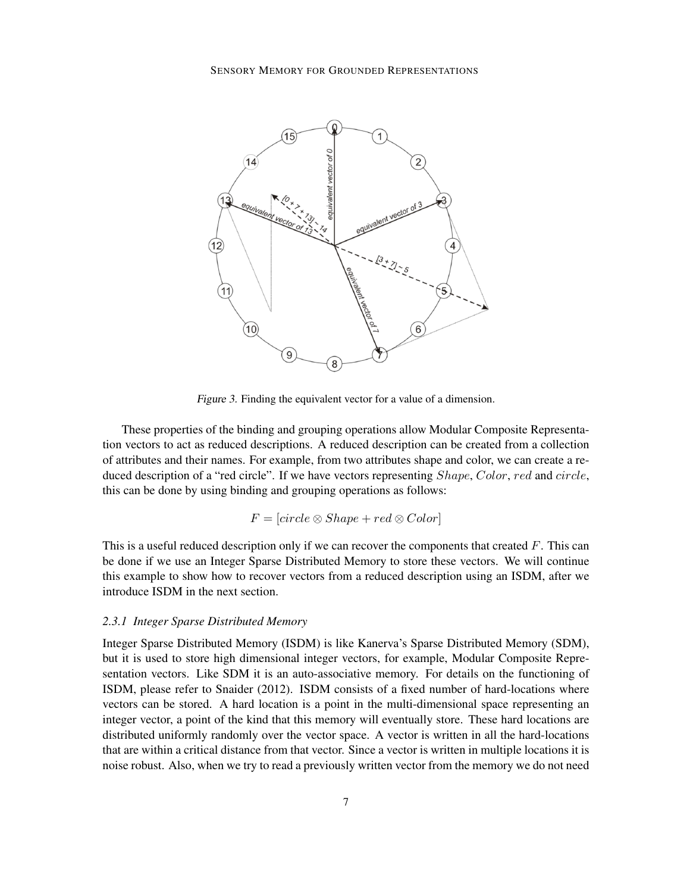

Figure 3. Finding the equivalent vector for a value of a dimension.

These properties of the binding and grouping operations allow Modular Composite Representation vectors to act as reduced descriptions. A reduced description can be created from a collection of attributes and their names. For example, from two attributes shape and color, we can create a reduced description of a "red circle". If we have vectors representing *Shape, Color, red* and *circle*, this can be done by using binding and grouping operations as follows:

$$
F = [circle \otimes Shape + red \otimes Color]
$$

This is a useful reduced description only if we can recover the components that created  $F$ . This can be done if we use an Integer Sparse Distributed Memory to store these vectors. We will continue this example to show how to recover vectors from a reduced description using an ISDM, after we introduce ISDM in the next section.

#### *2.3.1 Integer Sparse Distributed Memory*

Integer Sparse Distributed Memory (ISDM) is like Kanerva's Sparse Distributed Memory (SDM), but it is used to store high dimensional integer vectors, for example, Modular Composite Representation vectors. Like SDM it is an auto-associative memory. For details on the functioning of ISDM, please refer to Snaider (2012). ISDM consists of a fixed number of hard-locations where vectors can be stored. A hard location is a point in the multi-dimensional space representing an integer vector, a point of the kind that this memory will eventually store. These hard locations are distributed uniformly randomly over the vector space. A vector is written in all the hard-locations that are within a critical distance from that vector. Since a vector is written in multiple locations it is noise robust. Also, when we try to read a previously written vector from the memory we do not need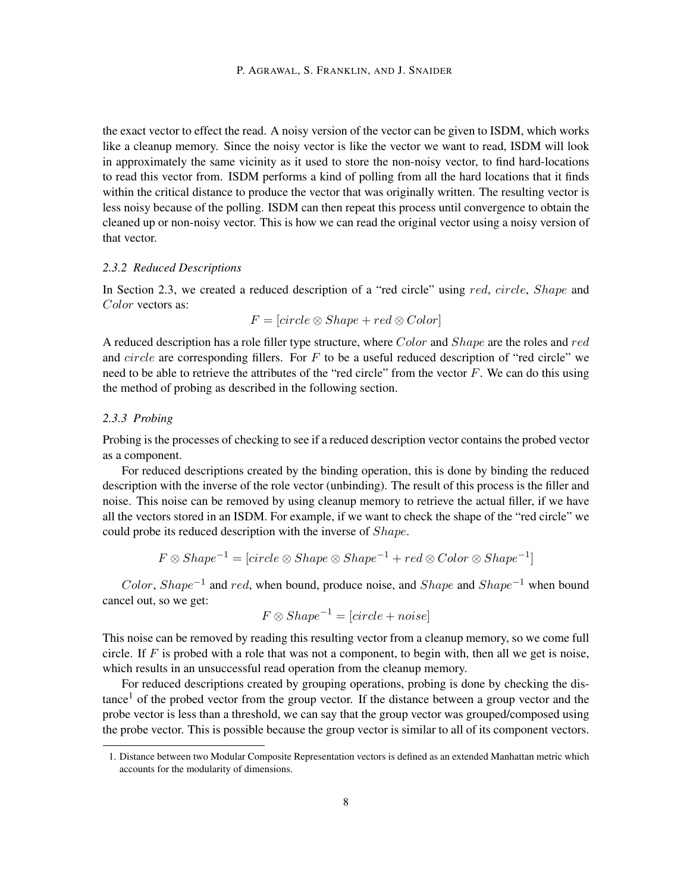the exact vector to effect the read. A noisy version of the vector can be given to ISDM, which works like a cleanup memory. Since the noisy vector is like the vector we want to read, ISDM will look in approximately the same vicinity as it used to store the non-noisy vector, to find hard-locations to read this vector from. ISDM performs a kind of polling from all the hard locations that it finds within the critical distance to produce the vector that was originally written. The resulting vector is less noisy because of the polling. ISDM can then repeat this process until convergence to obtain the cleaned up or non-noisy vector. This is how we can read the original vector using a noisy version of that vector.

#### *2.3.2 Reduced Descriptions*

In Section 2.3, we created a reduced description of a "red circle" using red, circle, Shape and Color vectors as:

$$
F = [circle \otimes Shape + red \otimes Color]
$$

A reduced description has a role filler type structure, where Color and Shape are the roles and red and  $circle$  are corresponding fillers. For  $F$  to be a useful reduced description of "red circle" we need to be able to retrieve the attributes of the "red circle" from the vector  $F$ . We can do this using the method of probing as described in the following section.

#### *2.3.3 Probing*

Probing is the processes of checking to see if a reduced description vector contains the probed vector as a component.

For reduced descriptions created by the binding operation, this is done by binding the reduced description with the inverse of the role vector (unbinding). The result of this process is the filler and noise. This noise can be removed by using cleanup memory to retrieve the actual filler, if we have all the vectors stored in an ISDM. For example, if we want to check the shape of the "red circle" we could probe its reduced description with the inverse of Shape.

$$
F \otimes Shape^{-1} = [circle \otimes Shape \otimes Shape^{-1} + red \otimes Color \otimes Shape^{-1}]
$$

Color, Shape<sup>-1</sup> and red, when bound, produce noise, and Shape and Shape<sup>-1</sup> when bound cancel out, so we get:

$$
F \otimes Shape^{-1} = [circle + noise]
$$

This noise can be removed by reading this resulting vector from a cleanup memory, so we come full circle. If F is probed with a role that was not a component, to begin with, then all we get is noise, which results in an unsuccessful read operation from the cleanup memory.

For reduced descriptions created by grouping operations, probing is done by checking the dis $t$ ance<sup>1</sup> of the probed vector from the group vector. If the distance between a group vector and the probe vector is less than a threshold, we can say that the group vector was grouped/composed using the probe vector. This is possible because the group vector is similar to all of its component vectors.

<sup>1.</sup> Distance between two Modular Composite Representation vectors is defined as an extended Manhattan metric which accounts for the modularity of dimensions.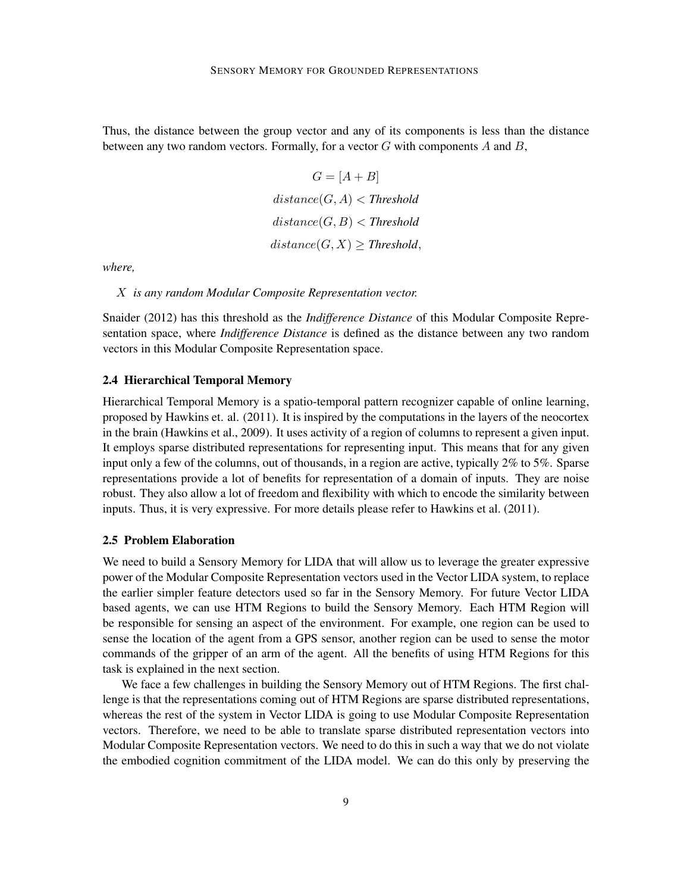Thus, the distance between the group vector and any of its components is less than the distance between any two random vectors. Formally, for a vector  $G$  with components  $A$  and  $B$ ,

$$
G = [A + B]
$$
  

$$
distance(G, A) < Threshold
$$
  

$$
distance(G, B) < Threshold
$$
  

$$
distance(G, X) \geq Threshold,
$$

*where,*

X *is any random Modular Composite Representation vector.*

Snaider (2012) has this threshold as the *Indifference Distance* of this Modular Composite Representation space, where *Indifference Distance* is defined as the distance between any two random vectors in this Modular Composite Representation space.

### 2.4 Hierarchical Temporal Memory

Hierarchical Temporal Memory is a spatio-temporal pattern recognizer capable of online learning, proposed by Hawkins et. al. (2011). It is inspired by the computations in the layers of the neocortex in the brain (Hawkins et al., 2009). It uses activity of a region of columns to represent a given input. It employs sparse distributed representations for representing input. This means that for any given input only a few of the columns, out of thousands, in a region are active, typically 2% to 5%. Sparse representations provide a lot of benefits for representation of a domain of inputs. They are noise robust. They also allow a lot of freedom and flexibility with which to encode the similarity between inputs. Thus, it is very expressive. For more details please refer to Hawkins et al. (2011).

### 2.5 Problem Elaboration

We need to build a Sensory Memory for LIDA that will allow us to leverage the greater expressive power of the Modular Composite Representation vectors used in the Vector LIDA system, to replace the earlier simpler feature detectors used so far in the Sensory Memory. For future Vector LIDA based agents, we can use HTM Regions to build the Sensory Memory. Each HTM Region will be responsible for sensing an aspect of the environment. For example, one region can be used to sense the location of the agent from a GPS sensor, another region can be used to sense the motor commands of the gripper of an arm of the agent. All the benefits of using HTM Regions for this task is explained in the next section.

We face a few challenges in building the Sensory Memory out of HTM Regions. The first challenge is that the representations coming out of HTM Regions are sparse distributed representations, whereas the rest of the system in Vector LIDA is going to use Modular Composite Representation vectors. Therefore, we need to be able to translate sparse distributed representation vectors into Modular Composite Representation vectors. We need to do this in such a way that we do not violate the embodied cognition commitment of the LIDA model. We can do this only by preserving the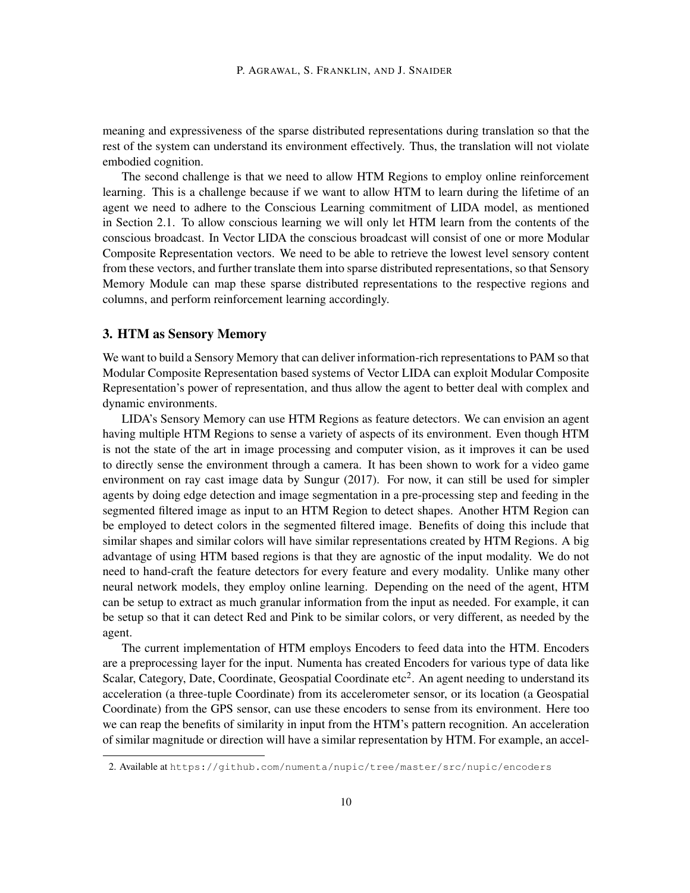meaning and expressiveness of the sparse distributed representations during translation so that the rest of the system can understand its environment effectively. Thus, the translation will not violate embodied cognition.

The second challenge is that we need to allow HTM Regions to employ online reinforcement learning. This is a challenge because if we want to allow HTM to learn during the lifetime of an agent we need to adhere to the Conscious Learning commitment of LIDA model, as mentioned in Section 2.1. To allow conscious learning we will only let HTM learn from the contents of the conscious broadcast. In Vector LIDA the conscious broadcast will consist of one or more Modular Composite Representation vectors. We need to be able to retrieve the lowest level sensory content from these vectors, and further translate them into sparse distributed representations, so that Sensory Memory Module can map these sparse distributed representations to the respective regions and columns, and perform reinforcement learning accordingly.

# 3. HTM as Sensory Memory

We want to build a Sensory Memory that can deliver information-rich representations to PAM so that Modular Composite Representation based systems of Vector LIDA can exploit Modular Composite Representation's power of representation, and thus allow the agent to better deal with complex and dynamic environments.

LIDA's Sensory Memory can use HTM Regions as feature detectors. We can envision an agent having multiple HTM Regions to sense a variety of aspects of its environment. Even though HTM is not the state of the art in image processing and computer vision, as it improves it can be used to directly sense the environment through a camera. It has been shown to work for a video game environment on ray cast image data by Sungur (2017). For now, it can still be used for simpler agents by doing edge detection and image segmentation in a pre-processing step and feeding in the segmented filtered image as input to an HTM Region to detect shapes. Another HTM Region can be employed to detect colors in the segmented filtered image. Benefits of doing this include that similar shapes and similar colors will have similar representations created by HTM Regions. A big advantage of using HTM based regions is that they are agnostic of the input modality. We do not need to hand-craft the feature detectors for every feature and every modality. Unlike many other neural network models, they employ online learning. Depending on the need of the agent, HTM can be setup to extract as much granular information from the input as needed. For example, it can be setup so that it can detect Red and Pink to be similar colors, or very different, as needed by the agent.

The current implementation of HTM employs Encoders to feed data into the HTM. Encoders are a preprocessing layer for the input. Numenta has created Encoders for various type of data like Scalar, Category, Date, Coordinate, Geospatial Coordinate etc<sup>2</sup>. An agent needing to understand its acceleration (a three-tuple Coordinate) from its accelerometer sensor, or its location (a Geospatial Coordinate) from the GPS sensor, can use these encoders to sense from its environment. Here too we can reap the benefits of similarity in input from the HTM's pattern recognition. An acceleration of similar magnitude or direction will have a similar representation by HTM. For example, an accel-

<sup>2.</sup> Available at https://github.com/numenta/nupic/tree/master/src/nupic/encoders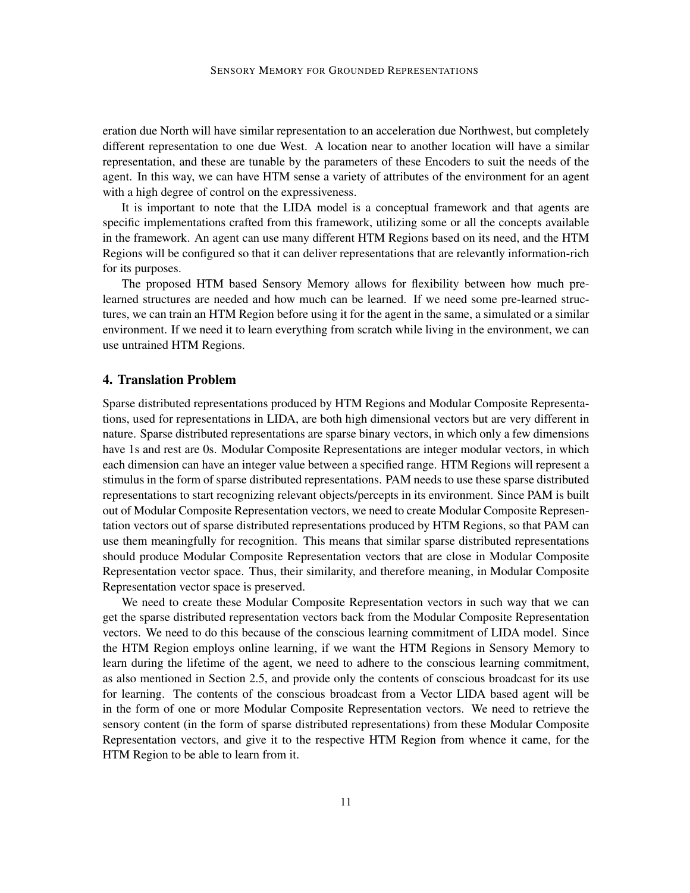eration due North will have similar representation to an acceleration due Northwest, but completely different representation to one due West. A location near to another location will have a similar representation, and these are tunable by the parameters of these Encoders to suit the needs of the agent. In this way, we can have HTM sense a variety of attributes of the environment for an agent with a high degree of control on the expressiveness.

It is important to note that the LIDA model is a conceptual framework and that agents are specific implementations crafted from this framework, utilizing some or all the concepts available in the framework. An agent can use many different HTM Regions based on its need, and the HTM Regions will be configured so that it can deliver representations that are relevantly information-rich for its purposes.

The proposed HTM based Sensory Memory allows for flexibility between how much prelearned structures are needed and how much can be learned. If we need some pre-learned structures, we can train an HTM Region before using it for the agent in the same, a simulated or a similar environment. If we need it to learn everything from scratch while living in the environment, we can use untrained HTM Regions.

## 4. Translation Problem

Sparse distributed representations produced by HTM Regions and Modular Composite Representations, used for representations in LIDA, are both high dimensional vectors but are very different in nature. Sparse distributed representations are sparse binary vectors, in which only a few dimensions have 1s and rest are 0s. Modular Composite Representations are integer modular vectors, in which each dimension can have an integer value between a specified range. HTM Regions will represent a stimulus in the form of sparse distributed representations. PAM needs to use these sparse distributed representations to start recognizing relevant objects/percepts in its environment. Since PAM is built out of Modular Composite Representation vectors, we need to create Modular Composite Representation vectors out of sparse distributed representations produced by HTM Regions, so that PAM can use them meaningfully for recognition. This means that similar sparse distributed representations should produce Modular Composite Representation vectors that are close in Modular Composite Representation vector space. Thus, their similarity, and therefore meaning, in Modular Composite Representation vector space is preserved.

We need to create these Modular Composite Representation vectors in such way that we can get the sparse distributed representation vectors back from the Modular Composite Representation vectors. We need to do this because of the conscious learning commitment of LIDA model. Since the HTM Region employs online learning, if we want the HTM Regions in Sensory Memory to learn during the lifetime of the agent, we need to adhere to the conscious learning commitment, as also mentioned in Section 2.5, and provide only the contents of conscious broadcast for its use for learning. The contents of the conscious broadcast from a Vector LIDA based agent will be in the form of one or more Modular Composite Representation vectors. We need to retrieve the sensory content (in the form of sparse distributed representations) from these Modular Composite Representation vectors, and give it to the respective HTM Region from whence it came, for the HTM Region to be able to learn from it.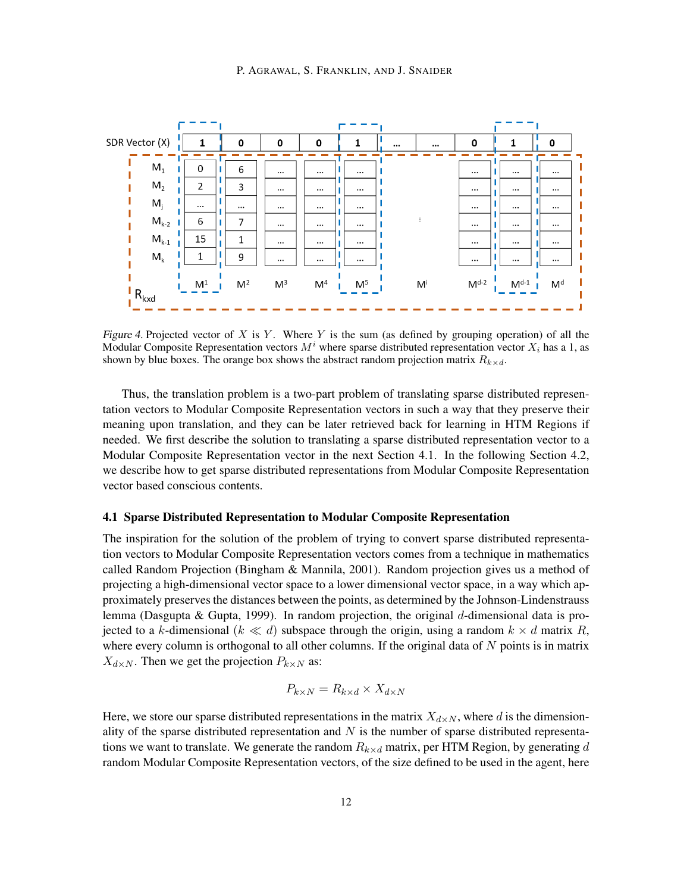

Figure 4. Projected vector of X is Y. Where Y is the sum (as defined by grouping operation) of all the Modular Composite Representation vectors  $M<sup>i</sup>$  where sparse distributed representation vector  $X<sub>i</sub>$  has a 1, as shown by blue boxes. The orange box shows the abstract random projection matrix  $R_{k \times d}$ .

Thus, the translation problem is a two-part problem of translating sparse distributed representation vectors to Modular Composite Representation vectors in such a way that they preserve their meaning upon translation, and they can be later retrieved back for learning in HTM Regions if needed. We first describe the solution to translating a sparse distributed representation vector to a Modular Composite Representation vector in the next Section 4.1. In the following Section 4.2, we describe how to get sparse distributed representations from Modular Composite Representation vector based conscious contents.

#### 4.1 Sparse Distributed Representation to Modular Composite Representation

The inspiration for the solution of the problem of trying to convert sparse distributed representation vectors to Modular Composite Representation vectors comes from a technique in mathematics called Random Projection (Bingham & Mannila, 2001). Random projection gives us a method of projecting a high-dimensional vector space to a lower dimensional vector space, in a way which approximately preserves the distances between the points, as determined by the Johnson-Lindenstrauss lemma (Dasgupta & Gupta, 1999). In random projection, the original d-dimensional data is projected to a k-dimensional ( $k \ll d$ ) subspace through the origin, using a random  $k \times d$  matrix R, where every column is orthogonal to all other columns. If the original data of  $N$  points is in matrix  $X_{d\times N}$ . Then we get the projection  $P_{k\times N}$  as:

$$
P_{k \times N} = R_{k \times d} \times X_{d \times N}
$$

Here, we store our sparse distributed representations in the matrix  $X_{d\times N}$ , where d is the dimensionality of the sparse distributed representation and  $N$  is the number of sparse distributed representations we want to translate. We generate the random  $R_{k \times d}$  matrix, per HTM Region, by generating d random Modular Composite Representation vectors, of the size defined to be used in the agent, here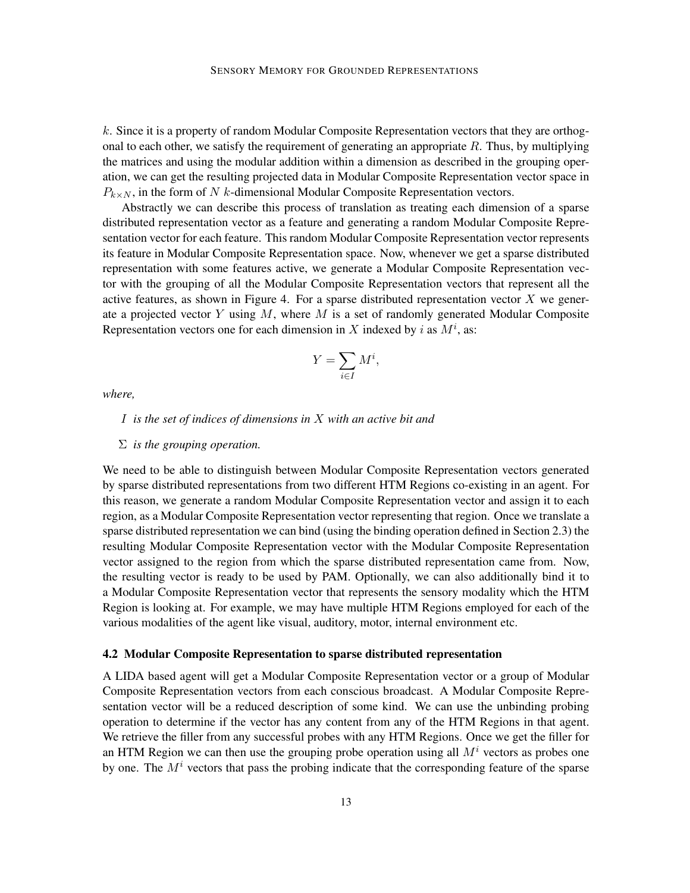k. Since it is a property of random Modular Composite Representation vectors that they are orthogonal to each other, we satisfy the requirement of generating an appropriate R. Thus, by multiplying the matrices and using the modular addition within a dimension as described in the grouping operation, we can get the resulting projected data in Modular Composite Representation vector space in  $P_{k\times N}$ , in the form of N k-dimensional Modular Composite Representation vectors.

Abstractly we can describe this process of translation as treating each dimension of a sparse distributed representation vector as a feature and generating a random Modular Composite Representation vector for each feature. This random Modular Composite Representation vector represents its feature in Modular Composite Representation space. Now, whenever we get a sparse distributed representation with some features active, we generate a Modular Composite Representation vector with the grouping of all the Modular Composite Representation vectors that represent all the active features, as shown in Figure 4. For a sparse distributed representation vector  $X$  we generate a projected vector Y using  $M$ , where  $M$  is a set of randomly generated Modular Composite Representation vectors one for each dimension in X indexed by i as  $M^i$ , as:

$$
Y = \sum_{i \in I} M^i,
$$

*where,*

#### I *is the set of indices of dimensions in* X *with an active bit and*

#### Σ *is the grouping operation.*

We need to be able to distinguish between Modular Composite Representation vectors generated by sparse distributed representations from two different HTM Regions co-existing in an agent. For this reason, we generate a random Modular Composite Representation vector and assign it to each region, as a Modular Composite Representation vector representing that region. Once we translate a sparse distributed representation we can bind (using the binding operation defined in Section 2.3) the resulting Modular Composite Representation vector with the Modular Composite Representation vector assigned to the region from which the sparse distributed representation came from. Now, the resulting vector is ready to be used by PAM. Optionally, we can also additionally bind it to a Modular Composite Representation vector that represents the sensory modality which the HTM Region is looking at. For example, we may have multiple HTM Regions employed for each of the various modalities of the agent like visual, auditory, motor, internal environment etc.

### 4.2 Modular Composite Representation to sparse distributed representation

A LIDA based agent will get a Modular Composite Representation vector or a group of Modular Composite Representation vectors from each conscious broadcast. A Modular Composite Representation vector will be a reduced description of some kind. We can use the unbinding probing operation to determine if the vector has any content from any of the HTM Regions in that agent. We retrieve the filler from any successful probes with any HTM Regions. Once we get the filler for an HTM Region we can then use the grouping probe operation using all  $M<sup>i</sup>$  vectors as probes one by one. The  $M<sup>i</sup>$  vectors that pass the probing indicate that the corresponding feature of the sparse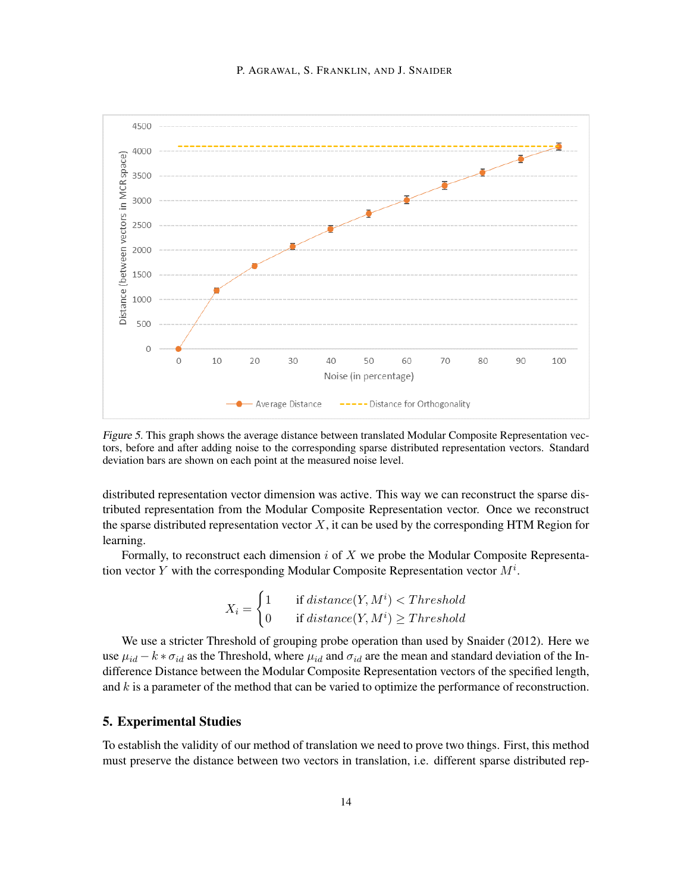

Figure 5. This graph shows the average distance between translated Modular Composite Representation vectors, before and after adding noise to the corresponding sparse distributed representation vectors. Standard deviation bars are shown on each point at the measured noise level.

distributed representation vector dimension was active. This way we can reconstruct the sparse distributed representation from the Modular Composite Representation vector. Once we reconstruct the sparse distributed representation vector  $X$ , it can be used by the corresponding HTM Region for learning.

Formally, to reconstruct each dimension  $i$  of  $X$  we probe the Modular Composite Representation vector Y with the corresponding Modular Composite Representation vector  $M^i$ .

$$
X_i = \begin{cases} 1 & \text{if } distance(Y, M^i) < Threshold \\ 0 & \text{if } distance(Y, M^i) \geq Threshold \end{cases}
$$

We use a stricter Threshold of grouping probe operation than used by Snaider (2012). Here we use  $\mu_{id} - k * \sigma_{id}$  as the Threshold, where  $\mu_{id}$  and  $\sigma_{id}$  are the mean and standard deviation of the Indifference Distance between the Modular Composite Representation vectors of the specified length, and  $k$  is a parameter of the method that can be varied to optimize the performance of reconstruction.

## 5. Experimental Studies

To establish the validity of our method of translation we need to prove two things. First, this method must preserve the distance between two vectors in translation, i.e. different sparse distributed rep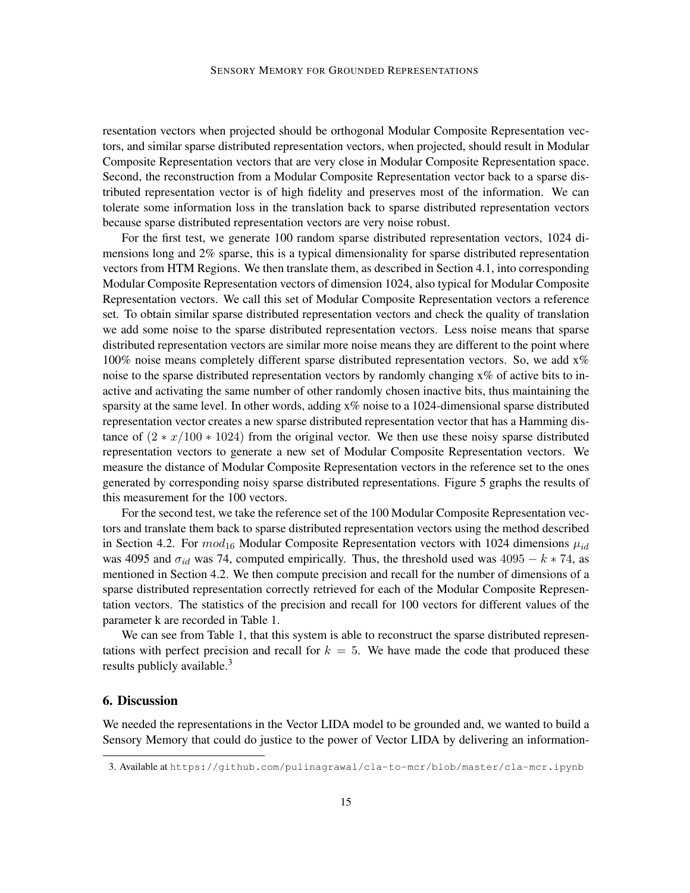resentation vectors when projected should be orthogonal Modular Composite Representation vectors, and similar sparse distributed representation vectors, when projected, should result in Modular Composite Representation vectors that are very close in Modular Composite Representation space. Second, the reconstruction from a Modular Composite Representation vector back to a sparse distributed representation vector is of high fidelity and preserves most of the information. We can tolerate some information loss in the translation back to sparse distributed representation vectors because sparse distributed representation vectors are very noise robust.

For the first test, we generate 100 random sparse distributed representation vectors, 1024 dimensions long and 2% sparse, this is a typical dimensionality for sparse distributed representation vectors from HTM Regions. We then translate them, as described in Section 4.1, into corresponding Modular Composite Representation vectors of dimension 1024, also typical for Modular Composite Representation vectors. We call this set of Modular Composite Representation vectors a reference set. To obtain similar sparse distributed representation vectors and check the quality of translation we add some noise to the sparse distributed representation vectors. Less noise means that sparse distributed representation vectors are similar more noise means they are different to the point where 100% noise means completely different sparse distributed representation vectors. So, we add  $x\%$ noise to the sparse distributed representation vectors by randomly changing  $x\%$  of active bits to inactive and activating the same number of other randomly chosen inactive bits, thus maintaining the sparsity at the same level. In other words, adding x% noise to a 1024-dimensional sparse distributed representation vector creates a new sparse distributed representation vector that has a Hamming distance of  $(2 * x/100 * 1024)$  from the original vector. We then use these noisy sparse distributed representation vectors to generate a new set of Modular Composite Representation vectors. We measure the distance of Modular Composite Representation vectors in the reference set to the ones generated by corresponding noisy sparse distributed representations. Figure 5 graphs the results of this measurement for the 100 vectors.

For the second test, we take the reference set of the 100 Modular Composite Representation vectors and translate them back to sparse distributed representation vectors using the method described in Section 4.2. For  $mod_{16}$  Modular Composite Representation vectors with 1024 dimensions  $\mu_{id}$ was 4095 and  $\sigma_{id}$  was 74, computed empirically. Thus, the threshold used was 4095 – k ∗ 74, as mentioned in Section 4.2. We then compute precision and recall for the number of dimensions of a sparse distributed representation correctly retrieved for each of the Modular Composite Representation vectors. The statistics of the precision and recall for 100 vectors for different values of the parameter k are recorded in Table 1.

We can see from Table 1, that this system is able to reconstruct the sparse distributed representations with perfect precision and recall for  $k = 5$ . We have made the code that produced these results publicly available.<sup>3</sup>

# 6. Discussion

We needed the representations in the Vector LIDA model to be grounded and, we wanted to build a Sensory Memory that could do justice to the power of Vector LIDA by delivering an information-

<sup>3.</sup> Available at https://github.com/pulinagrawal/cla-to-mcr/blob/master/cla-mcr.ipynb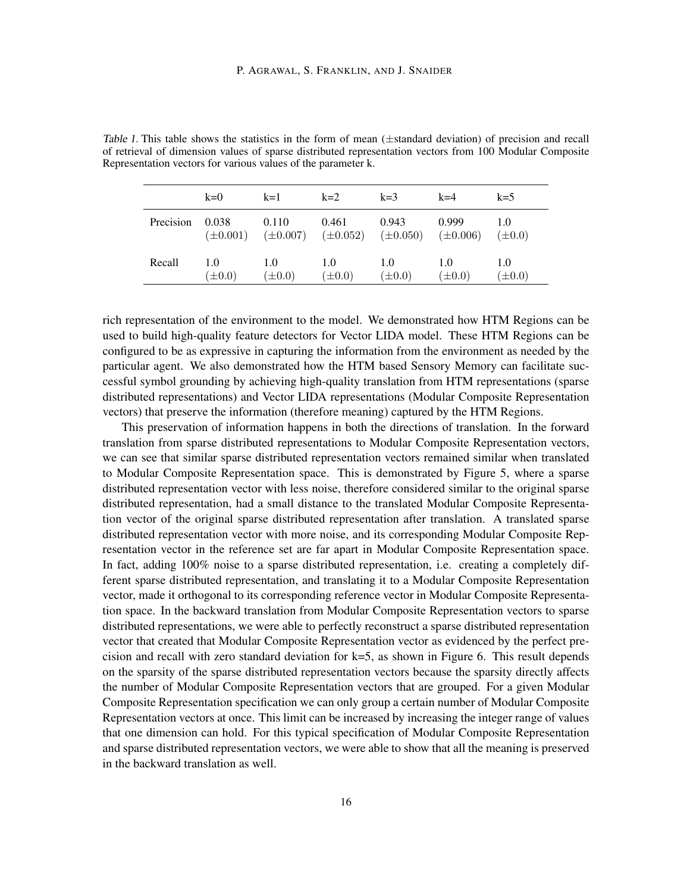|           | $k=0$              | $k=1$                                                                          | $k=2$              | $k=3$              | $k=4$              | $k=5$              |
|-----------|--------------------|--------------------------------------------------------------------------------|--------------------|--------------------|--------------------|--------------------|
| Precision | 0.038              | 0.110<br>$(\pm 0.001)$ $(\pm 0.007)$ $(\pm 0.052)$ $(\pm 0.050)$ $(\pm 0.006)$ | 0.461              | 0.943              | 0.999              | 1.0<br>$(\pm 0.0)$ |
| Recall    | 1.0<br>$(\pm 0.0)$ | 1.0<br>$(\pm 0.0)$                                                             | 1.0<br>$(\pm 0.0)$ | 1.0<br>$(\pm 0.0)$ | 1.0<br>$(\pm 0.0)$ | 1.0<br>$(\pm 0.0)$ |

Table 1. This table shows the statistics in the form of mean (±standard deviation) of precision and recall of retrieval of dimension values of sparse distributed representation vectors from 100 Modular Composite Representation vectors for various values of the parameter k.

rich representation of the environment to the model. We demonstrated how HTM Regions can be used to build high-quality feature detectors for Vector LIDA model. These HTM Regions can be configured to be as expressive in capturing the information from the environment as needed by the particular agent. We also demonstrated how the HTM based Sensory Memory can facilitate successful symbol grounding by achieving high-quality translation from HTM representations (sparse distributed representations) and Vector LIDA representations (Modular Composite Representation vectors) that preserve the information (therefore meaning) captured by the HTM Regions.

This preservation of information happens in both the directions of translation. In the forward translation from sparse distributed representations to Modular Composite Representation vectors, we can see that similar sparse distributed representation vectors remained similar when translated to Modular Composite Representation space. This is demonstrated by Figure 5, where a sparse distributed representation vector with less noise, therefore considered similar to the original sparse distributed representation, had a small distance to the translated Modular Composite Representation vector of the original sparse distributed representation after translation. A translated sparse distributed representation vector with more noise, and its corresponding Modular Composite Representation vector in the reference set are far apart in Modular Composite Representation space. In fact, adding 100% noise to a sparse distributed representation, i.e. creating a completely different sparse distributed representation, and translating it to a Modular Composite Representation vector, made it orthogonal to its corresponding reference vector in Modular Composite Representation space. In the backward translation from Modular Composite Representation vectors to sparse distributed representations, we were able to perfectly reconstruct a sparse distributed representation vector that created that Modular Composite Representation vector as evidenced by the perfect precision and recall with zero standard deviation for k=5, as shown in Figure 6. This result depends on the sparsity of the sparse distributed representation vectors because the sparsity directly affects the number of Modular Composite Representation vectors that are grouped. For a given Modular Composite Representation specification we can only group a certain number of Modular Composite Representation vectors at once. This limit can be increased by increasing the integer range of values that one dimension can hold. For this typical specification of Modular Composite Representation and sparse distributed representation vectors, we were able to show that all the meaning is preserved in the backward translation as well.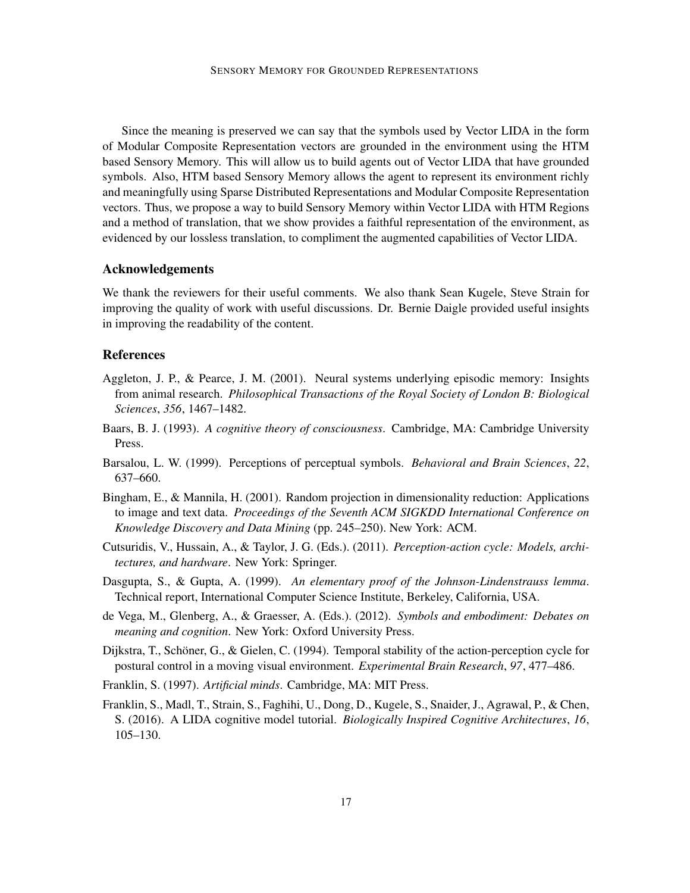Since the meaning is preserved we can say that the symbols used by Vector LIDA in the form of Modular Composite Representation vectors are grounded in the environment using the HTM based Sensory Memory. This will allow us to build agents out of Vector LIDA that have grounded symbols. Also, HTM based Sensory Memory allows the agent to represent its environment richly and meaningfully using Sparse Distributed Representations and Modular Composite Representation vectors. Thus, we propose a way to build Sensory Memory within Vector LIDA with HTM Regions and a method of translation, that we show provides a faithful representation of the environment, as evidenced by our lossless translation, to compliment the augmented capabilities of Vector LIDA.

## Acknowledgements

We thank the reviewers for their useful comments. We also thank Sean Kugele, Steve Strain for improving the quality of work with useful discussions. Dr. Bernie Daigle provided useful insights in improving the readability of the content.

# References

- Aggleton, J. P., & Pearce, J. M. (2001). Neural systems underlying episodic memory: Insights from animal research. *Philosophical Transactions of the Royal Society of London B: Biological Sciences*, *356*, 1467–1482.
- Baars, B. J. (1993). *A cognitive theory of consciousness*. Cambridge, MA: Cambridge University Press.
- Barsalou, L. W. (1999). Perceptions of perceptual symbols. *Behavioral and Brain Sciences*, *22*, 637–660.
- Bingham, E., & Mannila, H. (2001). Random projection in dimensionality reduction: Applications to image and text data. *Proceedings of the Seventh ACM SIGKDD International Conference on Knowledge Discovery and Data Mining* (pp. 245–250). New York: ACM.
- Cutsuridis, V., Hussain, A., & Taylor, J. G. (Eds.). (2011). *Perception-action cycle: Models, architectures, and hardware*. New York: Springer.
- Dasgupta, S., & Gupta, A. (1999). *An elementary proof of the Johnson-Lindenstrauss lemma*. Technical report, International Computer Science Institute, Berkeley, California, USA.
- de Vega, M., Glenberg, A., & Graesser, A. (Eds.). (2012). *Symbols and embodiment: Debates on meaning and cognition*. New York: Oxford University Press.
- Dijkstra, T., Schöner, G., & Gielen, C. (1994). Temporal stability of the action-perception cycle for postural control in a moving visual environment. *Experimental Brain Research*, *97*, 477–486.
- Franklin, S. (1997). *Artificial minds*. Cambridge, MA: MIT Press.
- Franklin, S., Madl, T., Strain, S., Faghihi, U., Dong, D., Kugele, S., Snaider, J., Agrawal, P., & Chen, S. (2016). A LIDA cognitive model tutorial. *Biologically Inspired Cognitive Architectures*, *16*, 105–130.